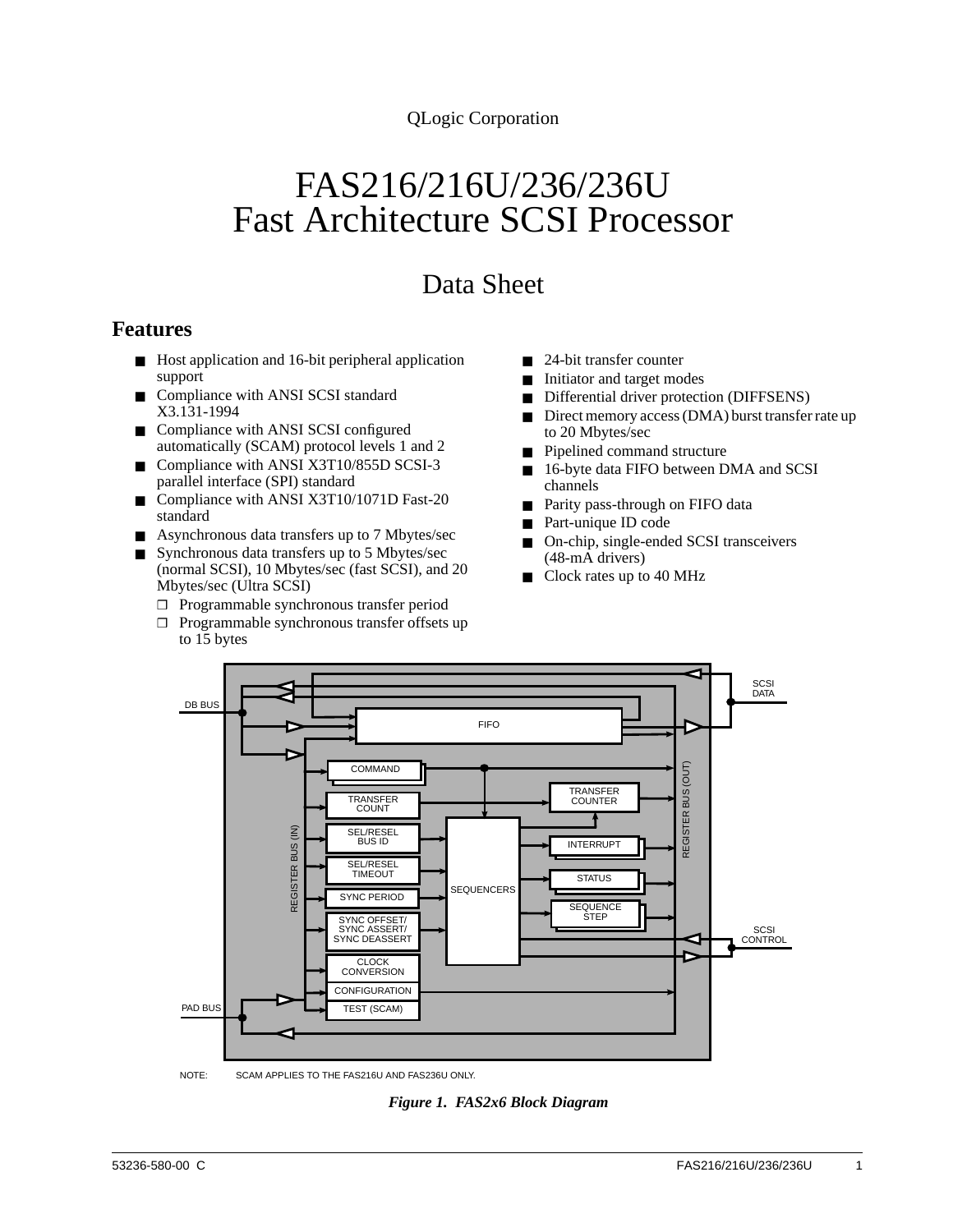QLogic Corporation

# FAS216/216U/236/236U Fast Architecture SCSI Processor

## Data Sheet

#### **Features**

- Host application and 16-bit peripheral application support
- Compliance with ANSI SCSI standard X3.131-1994
- Compliance with ANSI SCSI configured automatically (SCAM) protocol levels 1 and 2
- Compliance with ANSI X3T10/855D SCSI-3 parallel interface (SPI) standard
- Compliance with ANSI X3T10/1071D Fast-20 standard
- Asynchronous data transfers up to 7 Mbytes/sec
- Synchronous data transfers up to 5 Mbytes/sec (normal SCSI), 10 Mbytes/sec (fast SCSI), and 20 Mbytes/sec (Ultra SCSI)
	- ❒ Programmable synchronous transfer period
	- ❒ Programmable synchronous transfer offsets up to 15 bytes
- 24-bit transfer counter
- Initiator and target modes
- Differential driver protection (DIFFSENS)
- Direct memory access (DMA) burst transfer rate up to 20 Mbytes/sec
- Pipelined command structure
- 16-byte data FIFO between DMA and SCSI channels
- Parity pass-through on FIFO data
- Part-unique ID code
- On-chip, single-ended SCSI transceivers (48-mA drivers)
- Clock rates up to 40 MHz



*Figure 1. FAS2x6 Block Diagram*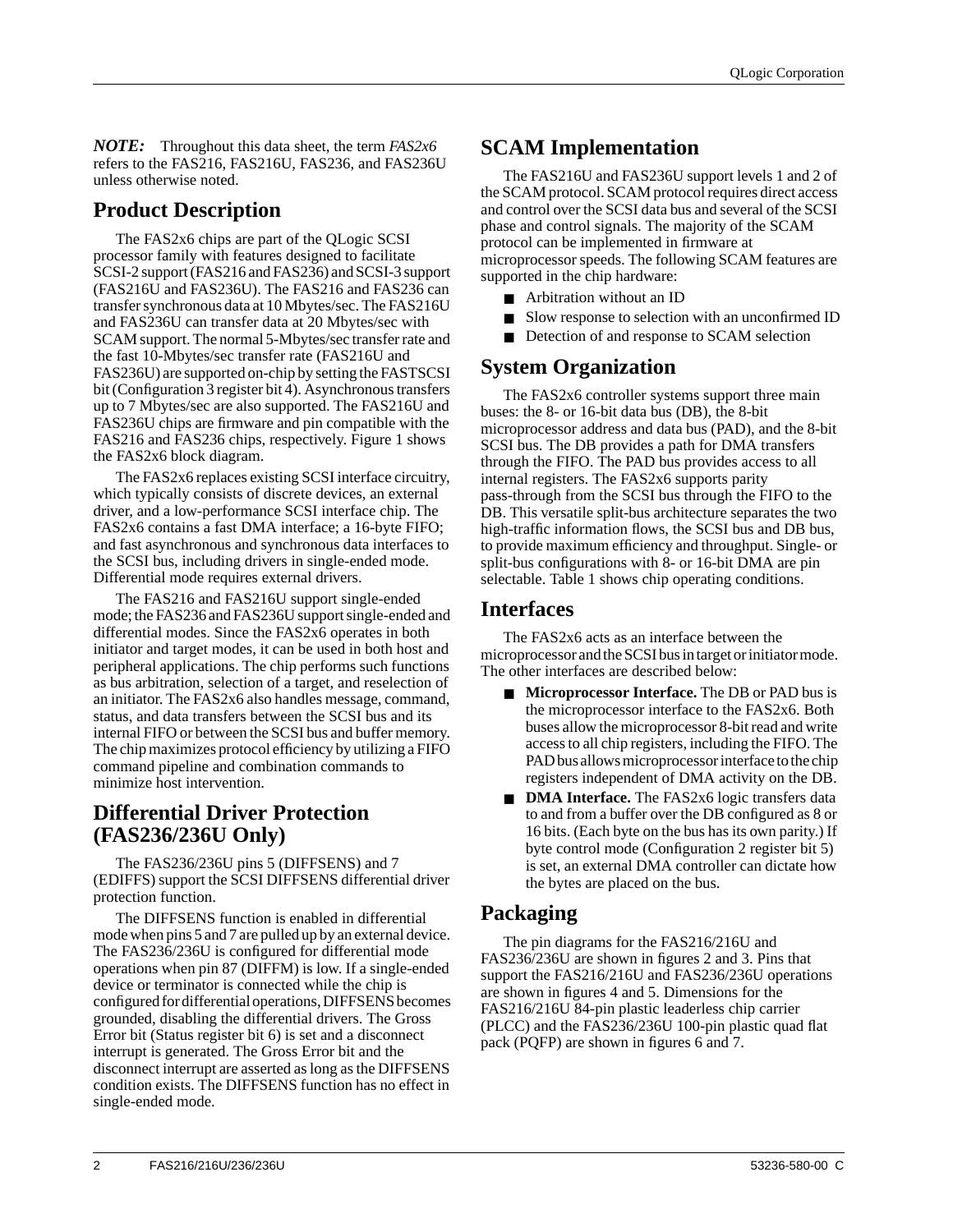*NOTE:* Throughout this data sheet, the term *FAS2x6* refers to the FAS216, FAS216U, FAS236, and FAS236U unless otherwise noted.

#### **Product Description**

The FAS2x6 chips are part of the QLogic SCSI processor family with features designed to facilitate SCSI-2 support (FAS216 and FAS236) and SCSI-3 support (FAS216U and FAS236U). The FAS216 and FAS236 can transfer synchronous data at 10 Mbytes/sec. The FAS216U and FAS236U can transfer data at 20 Mbytes/sec with SCAM support. The normal 5-Mbytes/sec transfer rate and the fast 10-Mbytes/sec transfer rate (FAS216U and FAS236U) are supported on-chip by setting the FASTSCSI bit (Configuration 3 register bit 4). Asynchronous transfers up to 7 Mbytes/sec are also supported. The FAS216U and FAS236U chips are firmware and pin compatible with the FAS216 and FAS236 chips, respectively. Figure 1 shows the FAS2x6 block diagram.

The FAS2x6 replaces existing SCSI interface circuitry, which typically consists of discrete devices, an external driver, and a low-performance SCSI interface chip. The FAS2x6 contains a fast DMA interface; a 16-byte FIFO; and fast asynchronous and synchronous data interfaces to the SCSI bus, including drivers in single-ended mode. Differential mode requires external drivers.

The FAS216 and FAS216U support single-ended mode; the FAS236 and FAS236U support single-ended and differential modes. Since the FAS2x6 operates in both initiator and target modes, it can be used in both host and peripheral applications. The chip performs such functions as bus arbitration, selection of a target, and reselection of an initiator. The FAS2x6 also handles message, command, status, and data transfers between the SCSI bus and its internal FIFO or between the SCSI bus and buffer memory. The chip maximizes protocol efficiency by utilizing a FIFO command pipeline and combination commands to minimize host intervention.

#### **Differential Driver Protection (FAS236/236U Only)**

The FAS236/236U pins 5 (DIFFSENS) and 7 (EDIFFS) support the SCSI DIFFSENS differential driver protection function.

The DIFFSENS function is enabled in differential mode when pins 5 and 7 are pulled up by an external device. The FAS236/236U is configured for differential mode operations when pin 87 (DIFFM) is low. If a single-ended device or terminator is connected while the chip is configured for differential operations, DIFFSENS becomes grounded, disabling the differential drivers. The Gross Error bit (Status register bit 6) is set and a disconnect interrupt is generated. The Gross Error bit and the disconnect interrupt are asserted as long as the DIFFSENS condition exists. The DIFFSENS function has no effect in single-ended mode.

### **SCAM Implementation**

The FAS216U and FAS236U support levels 1 and 2 of the SCAM protocol. SCAM protocol requires direct access and control over the SCSI data bus and several of the SCSI phase and control signals. The majority of the SCAM protocol can be implemented in firmware at microprocessor speeds. The following SCAM features are supported in the chip hardware:

- Arbitration without an ID
- Slow response to selection with an unconfirmed ID
- Detection of and response to SCAM selection

#### **System Organization**

The FAS2x6 controller systems support three main buses: the 8- or 16-bit data bus (DB), the 8-bit microprocessor address and data bus (PAD), and the 8-bit SCSI bus. The DB provides a path for DMA transfers through the FIFO. The PAD bus provides access to all internal registers. The FAS2x6 supports parity pass-through from the SCSI bus through the FIFO to the DB. This versatile split-bus architecture separates the two high-traffic information flows, the SCSI bus and DB bus, to provide maximum efficiency and throughput. Single- or split-bus configurations with 8- or 16-bit DMA are pin selectable. Table 1 shows chip operating conditions.

#### **Interfaces**

The FAS2x6 acts as an interface between the microprocessor and the SCSI bus in target or initiator mode. The other interfaces are described below:

- **Microprocessor Interface.** The DB or PAD bus is the microprocessor interface to the FAS2x6. Both buses allow the microprocessor 8-bit read and write access to all chip registers, including the FIFO. The PAD bus allows microprocessor interface to the chip registers independent of DMA activity on the DB.
- **DMA Interface.** The FAS2x6 logic transfers data to and from a buffer over the DB configured as 8 or 16 bits. (Each byte on the bus has its own parity.) If byte control mode (Configuration 2 register bit 5) is set, an external DMA controller can dictate how the bytes are placed on the bus.

#### **Packaging**

The pin diagrams for the FAS216/216U and FAS236/236U are shown in figures 2 and 3. Pins that support the FAS216/216U and FAS236/236U operations are shown in figures 4 and 5. Dimensions for the FAS216/216U 84-pin plastic leaderless chip carrier (PLCC) and the FAS236/236U 100-pin plastic quad flat pack (PQFP) are shown in figures 6 and 7.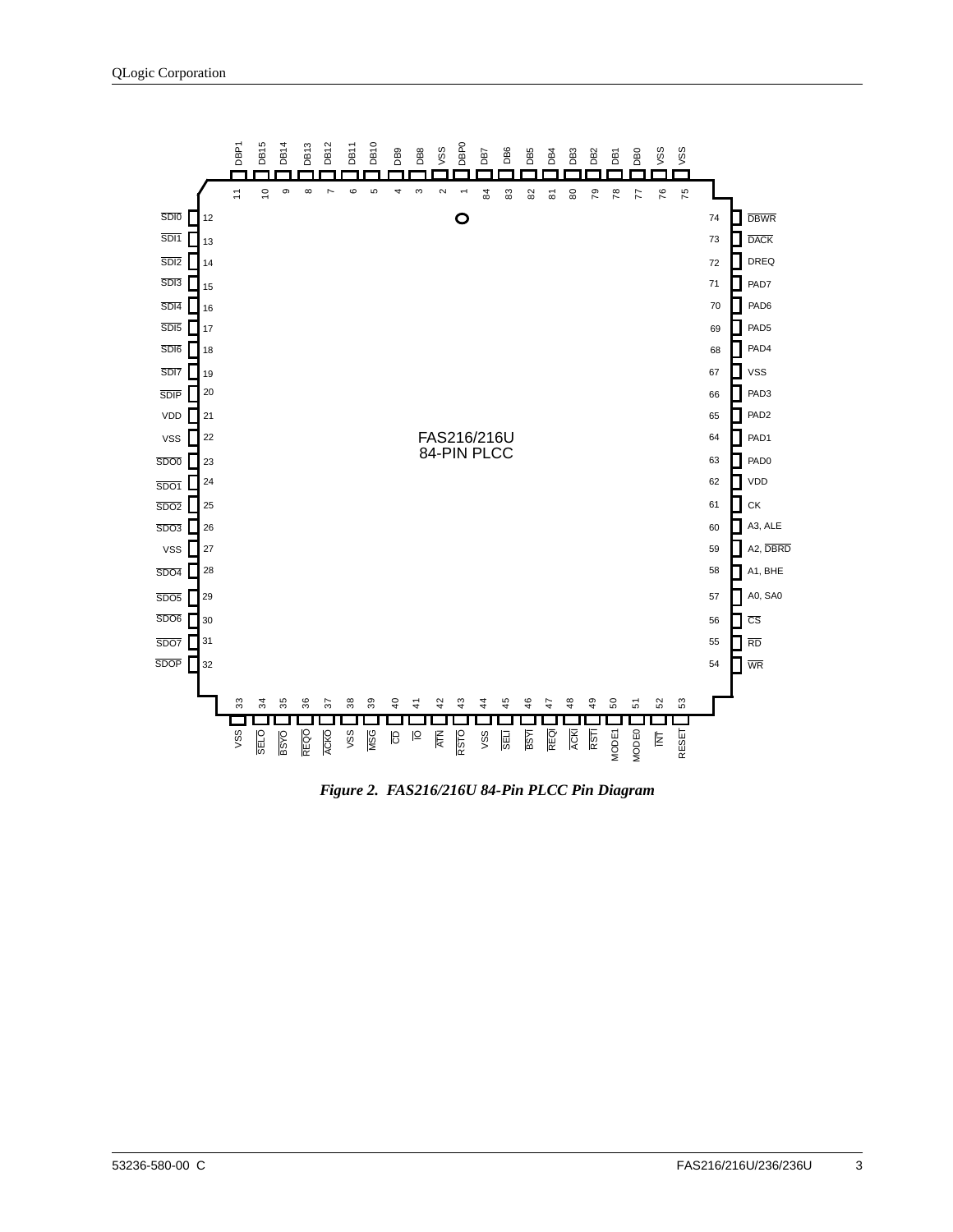

*Figure 2. FAS216/216U 84-Pin PLCC Pin Diagram*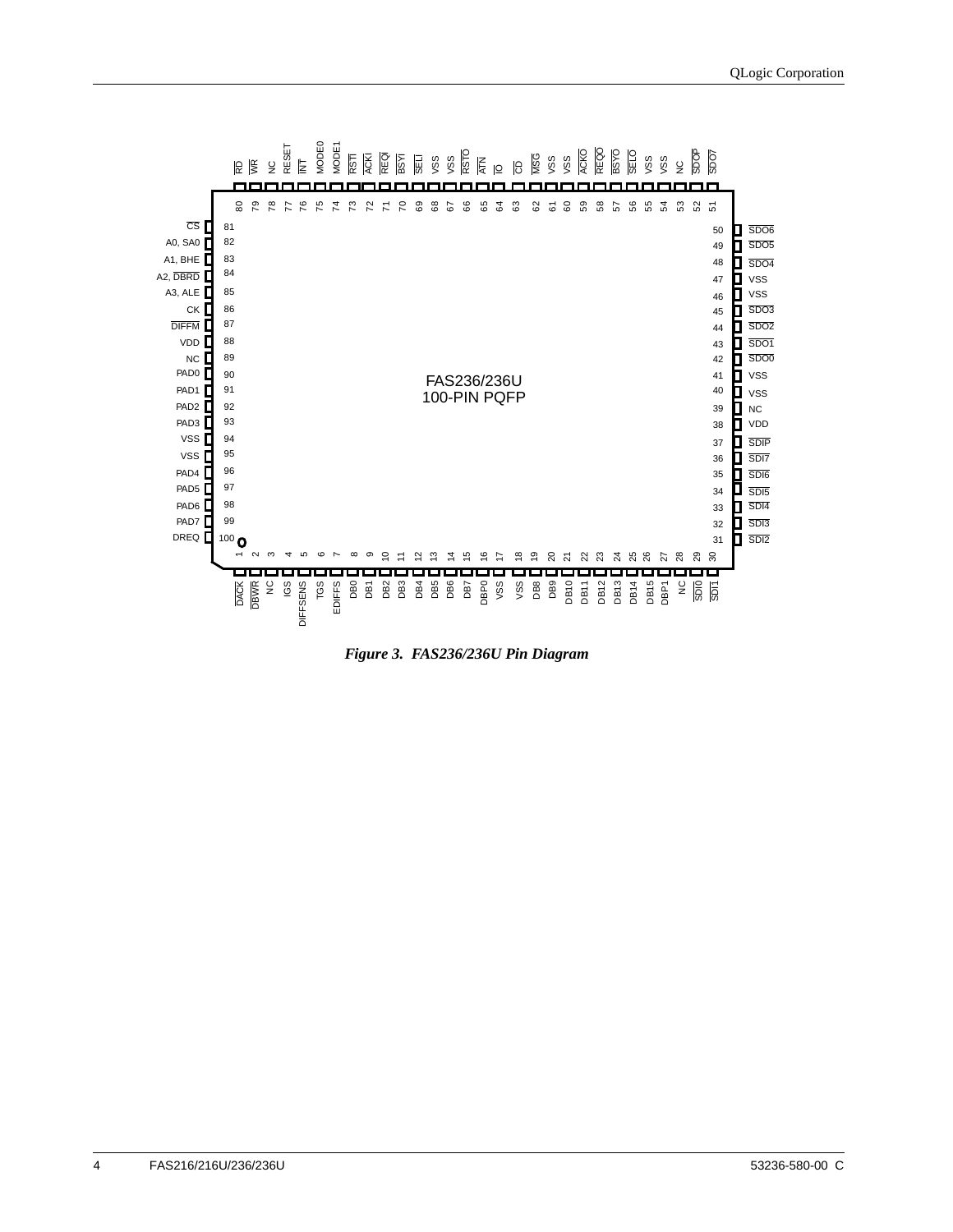

*Figure 3. FAS236/236U Pin Diagram*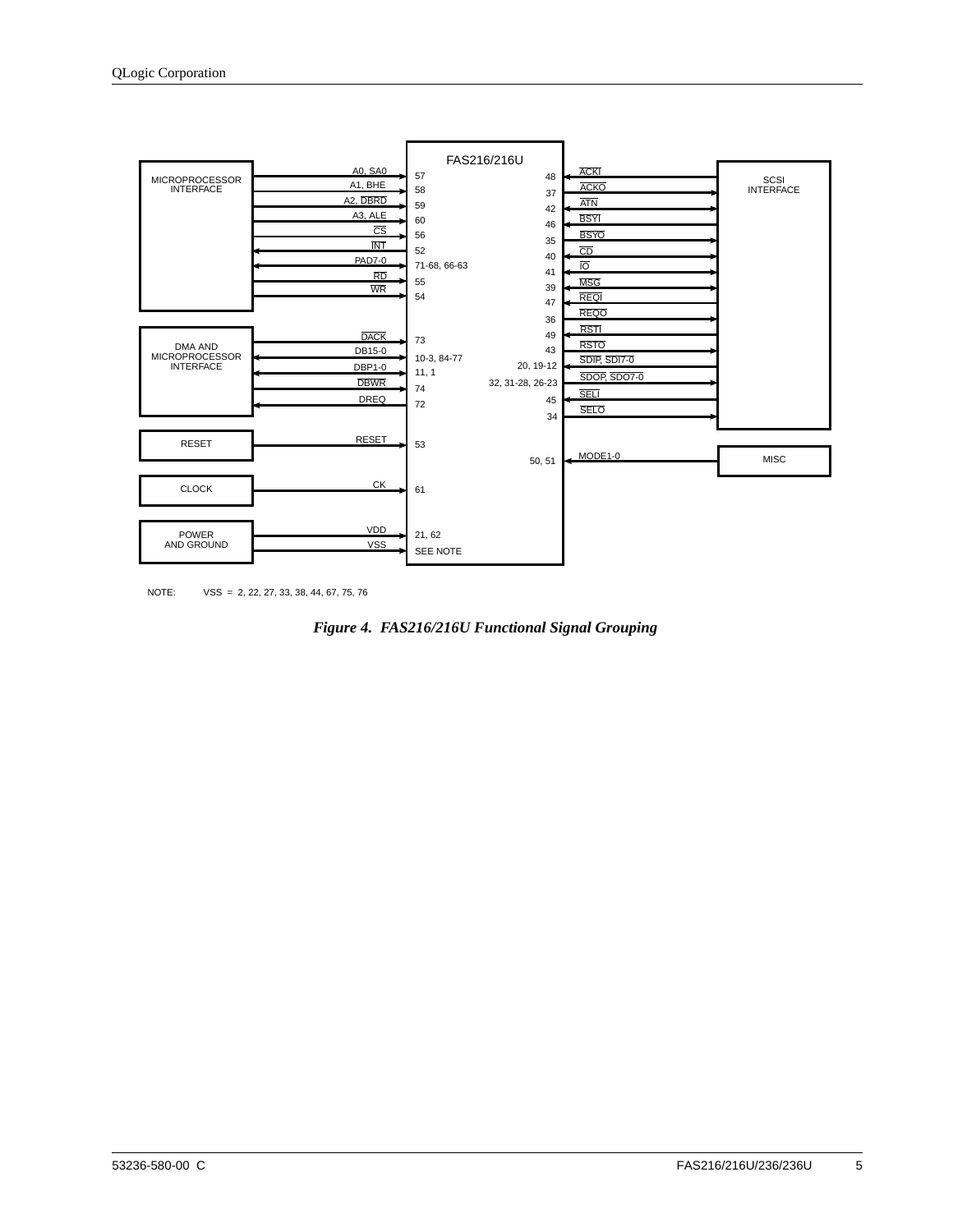

NOTE: VSS = 2, 22, 27, 33, 38, 44, 67, 75, 76

*Figure 4. FAS216/216U Functional Signal Grouping*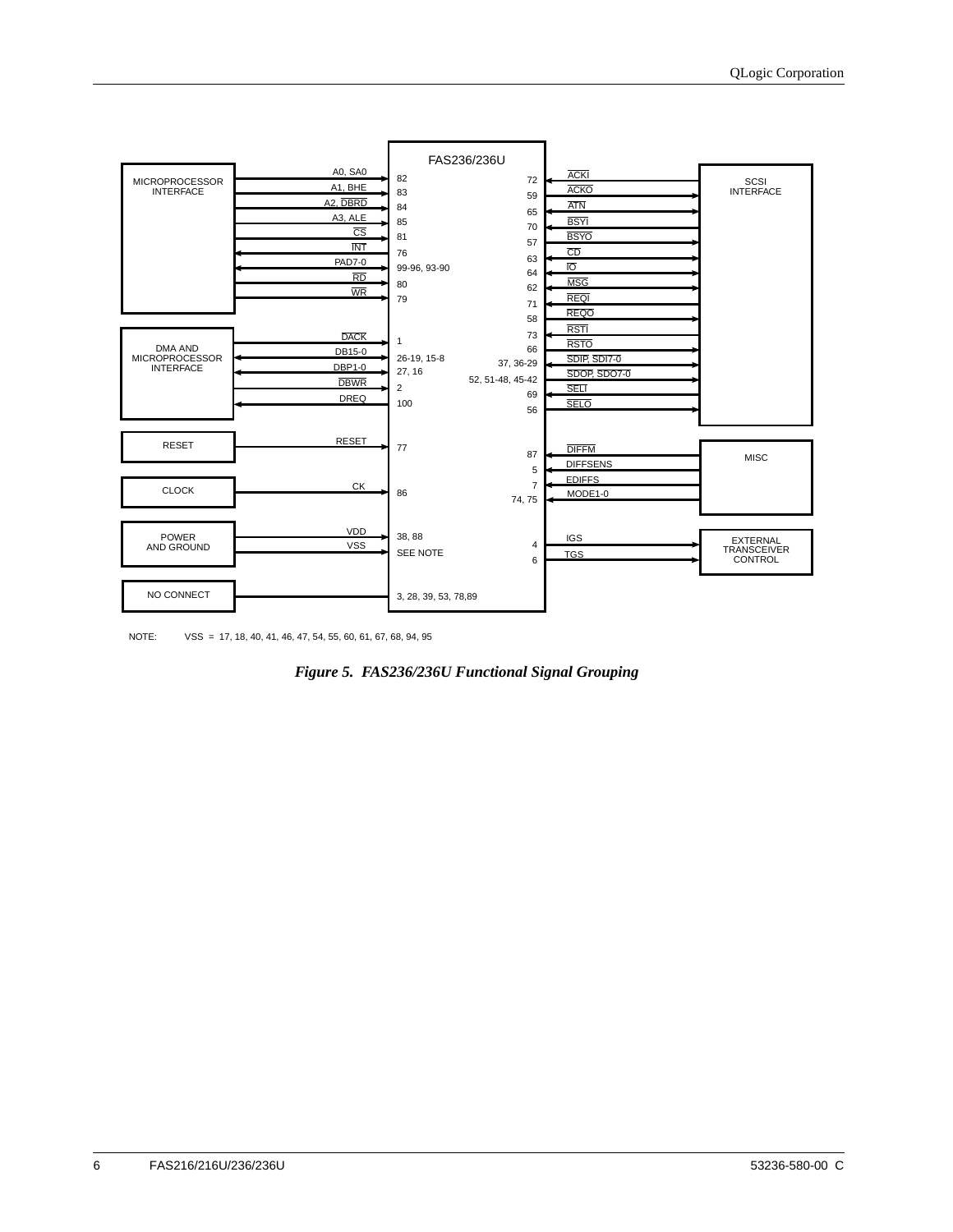

NOTE: VSS = 17, 18, 40, 41, 46, 47, 54, 55, 60, 61, 67, 68, 94, 95

*Figure 5. FAS236/236U Functional Signal Grouping*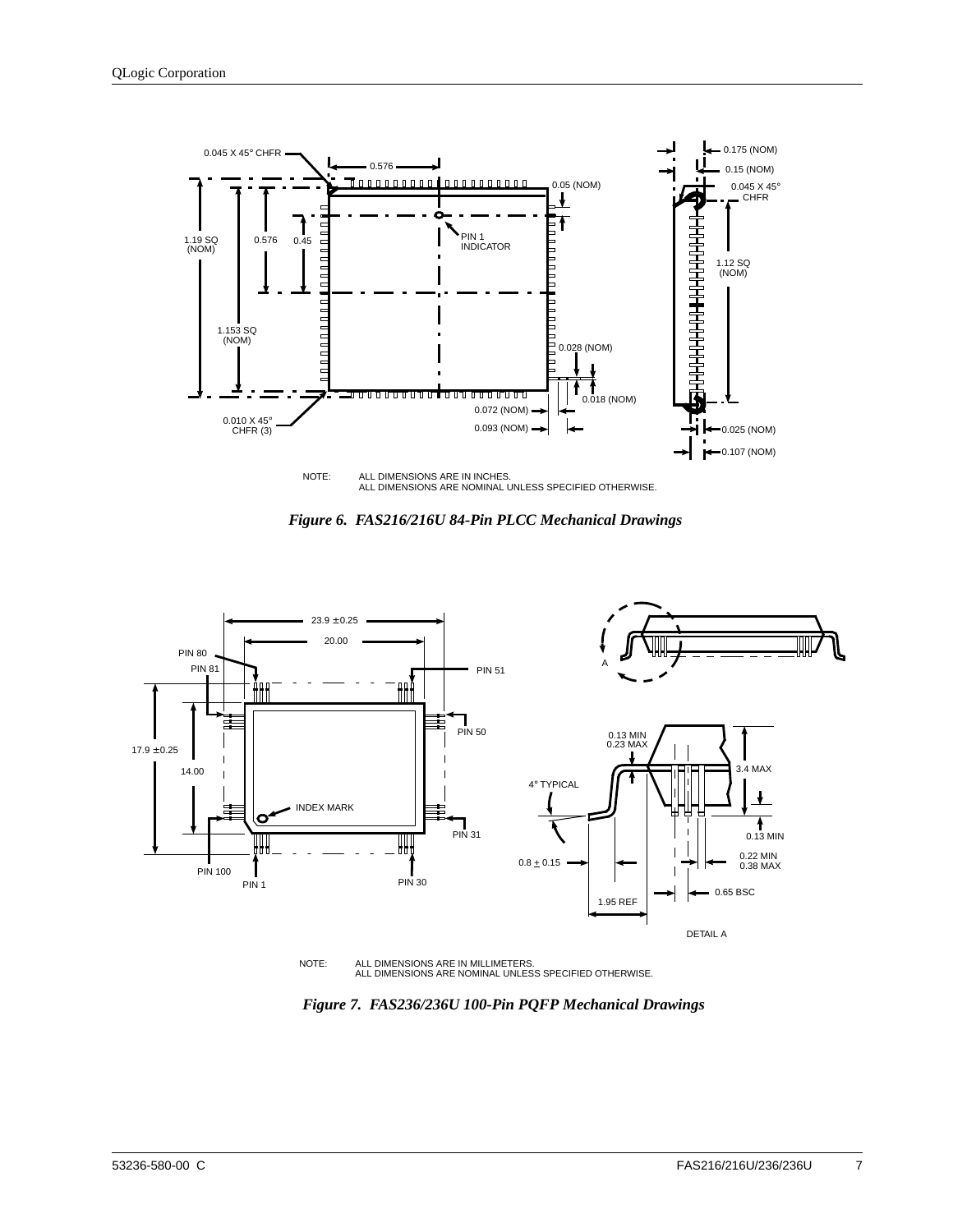





NOTE: ALL DIMENSIONS ARE IN MILLIMETERS. ALL DIMENSIONS ARE NOMINAL UNLESS SPECIFIED OTHERWISE.

*Figure 7. FAS236/236U 100-Pin PQFP Mechanical Drawings*